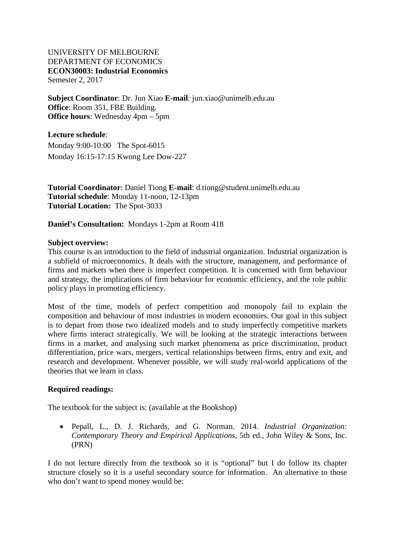#### UNIVERSITY OF MELBOURNE DEPARTMENT OF ECONOMICS **ECON30003: Industrial Economics** Semester 2, 2017

**Subject Coordinator**: Dr. Jun Xiao **E-mail**: jun.xiao@unimelb.edu.au **Office**: Room 351, FBE Building. **Office hours**: Wednesday 4pm – 5pm

**Lecture schedule**: Monday 9:00-10:00 The Spot-6015 Monday 16:15-17:15 Kwong Lee Dow-227

**Tutorial Coordinator**: Daniel Tiong **E-mail**: d.tiong@student.unimelb.edu.au **Tutorial schedule**: Monday 11-noon, 12-13pm **Tutorial Location:** The Spot-3033

**Daniel's Consultation:** Mondays 1-2pm at Room 418

#### **Subject overview:**

This course is an introduction to the field of industrial organization. Industrial organization is a subfield of microeconomics. It deals with the structure, management, and performance of firms and markets when there is imperfect competition. It is concerned with firm behaviour and strategy, the implications of firm behaviour for economic efficiency, and the role public policy plays in promoting efficiency.

Most of the time, models of perfect competition and monopoly fail to explain the composition and behaviour of most industries in modern economies. Our goal in this subject is to depart from those two idealized models and to study imperfectly competitive markets where firms interact strategically. We will be looking at the strategic interactions between firms in a market, and analysing such market phenomena as price discrimination, product differentiation, price wars, mergers, vertical relationships between firms, entry and exit, and research and development. Whenever possible, we will study real-world applications of the theories that we learn in class.

#### **Required readings:**

The textbook for the subject is: (available at the Bookshop)

• Pepall, L., D. J. Richards, and G. Norman. 2014. *Industrial Organization: Contemporary Theory and Empirical Applications*, 5th ed., John Wiley & Sons, Inc. (PRN)

I do not lecture directly from the textbook so it is "optional" but I do follow its chapter structure closely so it is a useful secondary source for information. An alternative to those who don't want to spend money would be: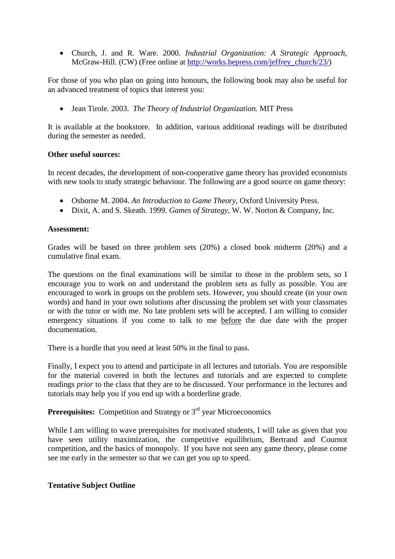• Church, J. and R. Ware. 2000. *Industrial Organization: A Strategic Approach*, McGraw-Hill. (CW) (Free online at [http://works.bepress.com/jeffrey\\_church/23/\)](http://works.bepress.com/jeffrey_church/23/)

For those of you who plan on going into honours, the following book may also be useful for an advanced treatment of topics that interest you:

• Jean Tirole. 2003. *The Theory of Industrial Organization.* MIT Press

It is available at the bookstore. In addition, various additional readings will be distributed during the semester as needed.

#### **Other useful sources:**

In recent decades, the development of non-cooperative game theory has provided economists with new tools to study strategic behaviour. The following are a good source on game theory:

- Osborne M. 2004. *An Introduction to Game Theory*, Oxford University Press.
- Dixit, A. and S. Skeath. 1999. *Games of Strategy*, W. W. Norton & Company, Inc.

#### **Assessment:**

Grades will be based on three problem sets (20%) a closed book midterm (20%) and a cumulative final exam.

The questions on the final examinations will be similar to those in the problem sets, so I encourage you to work on and understand the problem sets as fully as possible. You are encouraged to work in groups on the problem sets. However, you should create (in your own words) and hand in your own solutions after discussing the problem set with your classmates or with the tutor or with me. No late problem sets will be accepted. I am willing to consider emergency situations if you come to talk to me before the due date with the proper documentation.

There is a hurdle that you need at least 50% in the final to pass.

Finally, I expect you to attend and participate in all lectures and tutorials. You are responsible for the material covered in both the lectures and tutorials and are expected to complete readings *prior* to the class that they are to be discussed. Your performance in the lectures and tutorials may help you if you end up with a borderline grade.

# **Prerequisites:** Competition and Strategy or 3<sup>rd</sup> year Microeconomics

While I am willing to wave prerequisites for motivated students, I will take as given that you have seen utility maximization, the competitive equilibrium, Bertrand and Cournot competition, and the basics of monopoly. If you have not seen any game theory, please come see me early in the semester so that we can get you up to speed.

#### **Tentative Subject Outline**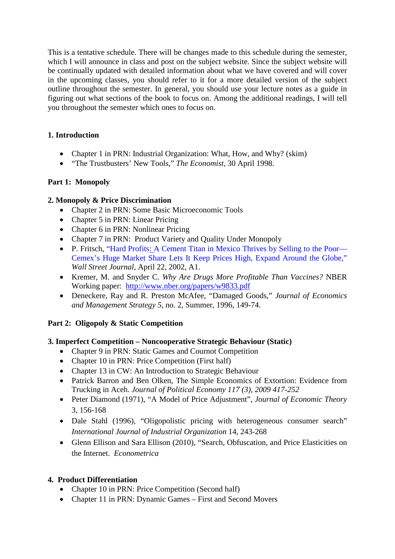This is a tentative schedule. There will be changes made to this schedule during the semester, which I will announce in class and post on the subject website. Since the subject website will be continually updated with detailed information about what we have covered and will cover in the upcoming classes, you should refer to it for a more detailed version of the subject outline throughout the semester. In general, you should use your lecture notes as a guide in figuring out what sections of the book to focus on. Among the additional readings, I will tell you throughout the semester which ones to focus on.

# **1. Introduction**

- Chapter 1 in PRN: Industrial Organization: What, How, and Why? (skim)
- "The Trustbusters' New Tools," *The Economist*, 30 April 1998.

# **Part 1: Monopoly**

# **2. Monopoly & Price Discrimination**

- Chapter 2 in PRN: Some Basic Microeconomic Tools
- Chapter 5 in PRN: Linear Pricing
- Chapter 6 in PRN: Nonlinear Pricing
- Chapter 7 in PRN: Product Variety and Quality Under Monopoly
- P. Fritsch, "Hard Profits: A Cement Titan in Mexico Thrives by Selling to the Poor— Cemex's Huge Market Share Lets It Keep Prices High, Expand Around the Globe," *Wall Street Journal*, April 22, 2002, A1.
- Kremer, M. and Snyder C. *Why Are Drugs More Profitable Than Vaccines?* NBER Working paper: <http://www.nber.org/papers/w9833.pdf>
- Deneckere, Ray and R. Preston McAfee, "Damaged Goods," *Journal of Economics and Management Strategy 5*, no. 2, Summer, 1996, 149-74.

# **Part 2: Oligopoly & Static Competition**

# **3. Imperfect Competition – Noncooperative Strategic Behaviour (Static)**

- Chapter 9 in PRN: Static Games and Cournot Competition
- Chapter 10 in PRN: Price Competition (First half)
- Chapter 13 in CW: An Introduction to Strategic Behaviour
- Patrick Barron and Ben Olken, The Simple Economics of Extortion: Evidence from Trucking in Aceh. *Journal of Political Economy 117 (3), 2009 417-252*
- Peter Diamond (1971), "A Model of Price Adjustment", *Journal of Economic Theory* 3, 156-168
- Dale Stahl (1996), "Oligopolistic pricing with heterogeneous consumer search" *International Journal of Industrial Organization* 14, 243-268
- Glenn Ellison and Sara Ellison (2010), "Search, Obfuscation, and Price Elasticities on the Internet. *Econometrica*

# **4. Product Differentiation**

- Chapter 10 in PRN: Price Competition (Second half)
- Chapter 11 in PRN: Dynamic Games First and Second Movers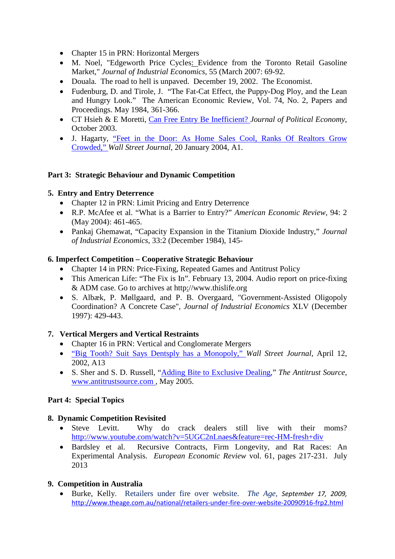- Chapter 15 in PRN: Horizontal Mergers
- M. Noel, "Edgeworth Price Cycles: Evidence from the Toronto Retail Gasoline Market," *Journal of Industrial Economics*, 55 (March 2007: 69-92.
- Douala. The road to hell is unpaved. December 19, 2002. The Economist.
- Fudenburg, D. and Tirole, J. "The Fat-Cat Effect, the Puppy-Dog Ploy, and the Lean and Hungry Look." The American Economic Review, Vol. 74, No. 2, Papers and Proceedings. May 1984, 361-366.
- CT Hsieh & E Moretti, Can Free Entry Be Inefficient? *Journal of Political Economy*, October 2003.
- J. Hagarty, "Feet in the Door: As Home Sales Cool, Ranks Of Realtors Grow Crowded," *Wall Street Journal*, 20 January 2004, A1.

### **Part 3: Strategic Behaviour and Dynamic Competition**

#### **5. Entry and Entry Deterrence**

- Chapter 12 in PRN: Limit Pricing and Entry Deterrence
- R.P. McAfee et al. "What is a Barrier to Entry?" *American Economic Review*, 94: 2 (May 2004): 461-465.
- Pankaj Ghemawat, "Capacity Expansion in the Titanium Dioxide Industry," *Journal of Industrial Economics*, 33:2 (December 1984), 145-

### **6. Imperfect Competition – Cooperative Strategic Behaviour**

- Chapter 14 in PRN: Price-Fixing, Repeated Games and Antitrust Policy
- This American Life: "The Fix is In". February 13, 2004. Audio report on price-fixing & ADM case. Go to archives at http://www.thislife.org
- S. Albæk, P. Møllgaard, and P. B. Overgaard, "Government-Assisted Oligopoly Coordination? A Concrete Case", *Journal of Industrial Economics* XLV (December 1997): 429-443.

### **7. Vertical Mergers and Vertical Restraints**

- Chapter 16 in PRN: Vertical and Conglomerate Mergers
- "Big Tooth? Suit Says Dentsply has a Monopoly," *Wall Street Journal*, April 12, 2002, A13
- S. Sher and S. D. Russell, "Adding Bite to Exclusive Dealing," *The Antitrust Source*, www.antitrustsource.com , May 2005.

#### **Part 4: Special Topics**

### **8. Dynamic Competition Revisited**

- Steve Levitt. Why do crack dealers still live with their moms? <http://www.youtube.com/watch?v=5UGC2nLnaes&feature=rec-HM-fresh+div>
- Bardsley et al. Recursive Contracts, Firm Longevity, and Rat Races: An Experimental Analysis. *European Economic Review* vol. 61, pages 217-231. July 2013

### **9. Competition in Australia**

• Burke, Kelly. Retailers under fire over website. *The Age, September 17, 2009,*  <http://www.theage.com.au/national/retailers-under-fire-over-website-20090916-frp2.html>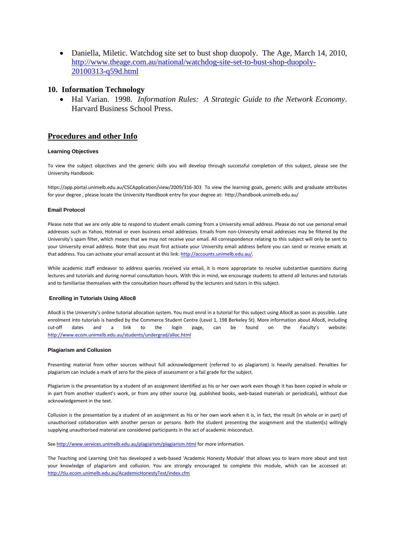• Daniella, Miletic. Watchdog site set to bust shop duopoly. The Age, March 14, 2010, [http://www.theage.com.au/national/watchdog-site-set-to-bust-shop-duopoly-](http://www.theage.com.au/national/watchdog-site-set-to-bust-shop-duopoly-20100313-q59d.html)[20100313-q59d.html](http://www.theage.com.au/national/watchdog-site-set-to-bust-shop-duopoly-20100313-q59d.html)

#### **10. Information Technology**

• Hal Varian. 1998. *Information Rules: A Strategic Guide to the Network Economy*. Harvard Business School Press.

#### **Procedures and other Info**

#### **Learning Objectives**

To view the subject objectives and the generic skills you will develop through successful completion of this subject, please see the University Handbook:

https://app.portal.unimelb.edu.au/CSCApplication/view/2009/316-303 To view the learning goals, generic skills and graduate attributes for your degree , please locate the University Handbook entry for your degree at: http://handbook.unimelb.edu.au/

#### **Email Protocol**

Please note that we are only able to respond to student emails coming from a University email address. Please do not use personal email addresses such as Yahoo, Hotmail or even business email addresses. Emails from non-University email addresses may be filtered by the University's spam filter, which means that we may not receive your email. All correspondence relating to this subject will only be sent to your University email address. Note that you must first activate your University email address before you can send or receive emails at that address. You can activate your email account at this link: [http://accounts.unimelb.edu.au/.](http://accounts.unimelb.edu.au/)

While academic staff endeavor to address queries received via email, it is more appropriate to resolve substantive questions during lectures and tutorials and during normal consultation hours. With this in mind, we encourage students to attend all lectures and tutorials and to familiarise themselves with the consultation hours offered by the lecturers and tutors in this subject.

#### **Enrolling in Tutorials Using Alloc8**

Alloc8 is the University's online tutorial allocation system. You must enrol in a tutorial for this subject using Alloc8 as soon as possible. Late enrolment into tutorials is handled by the Commerce Student Centre (Level 1, 198 Berkeley St). More information about Alloc8, including cut-off dates and a link to the login page, can be found on the Faculty's website: <http://www.ecom.unimelb.edu.au/students/undergrad/alloc.html>

#### **Plagiarism and Collusion**

Presenting material from other sources without full acknowledgement (referred to as plagiarism) is heavily penalised. Penalties for plagiarism can include a mark of zero for the piece of assessment or a fail grade for the subject.

Plagiarism is the presentation by a student of an assignment identified as his or her own work even though it has been copied in whole or in part from another student's work, or from any other source (eg. published books, web-based materials or periodicals), without due acknowledgement in the text.

Collusion is the presentation by a student of an assignment as his or her own work when it is, in fact, the result (in whole or in part) of unauthorised collaboration with another person or persons. Both the student presenting the assignment and the student(s) willingly supplying unauthorised material are considered participants in the act of academic misconduct.

Se[e http://www.services.unimelb.edu.au/plagiarism/plagiarism.html](http://www.services.unimelb.edu.au/plagiarism/plagiarism.html) for more information.

The Teaching and Learning Unit has developed a web-based 'Academic Honesty Module' that allows you to learn more about and test your knowledge of plagiarism and collusion. You are strongly encouraged to complete this module, which can be accessed at: <http://tlu.ecom.unimelb.edu.au/AcademicHonestyTest/index.cfm>